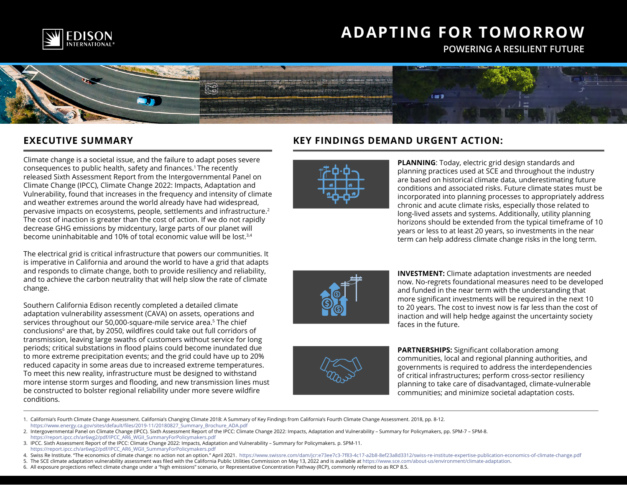

# **ADAPTING FOR TOMORROW**

**POWERING A RESILIENT FUTURE** 



### **EXECUTIVE SUMMARY**

Climate change is a societal issue, and the failure to adapt poses severe consequences to public health, safety and finances.1 The recently released Sixth Assessment Report from the Intergovernmental Panel on Climate Change (IPCC), Climate Change 2022: Impacts, Adaptation and Vulnerability, found that increases in the frequency and intensity of climate and weather extremes around the world already have had widespread, pervasive impacts on ecosystems, people, settlements and infrastructure.<sup>2</sup> The cost of inaction is greater than the cost of action. If we do not rapidly decrease GHG emissions by midcentury, large parts of our planet will become uninhabitable and 10% of total economic value will be lost.3,4

The electrical grid is critical infrastructure that powers our communities. It is imperative in California and around the world to have a grid that adapts and responds to climate change, both to provide resiliency and reliability, and to achieve the carbon neutrality that will help slow the rate of climate change.

Southern California Edison recently completed a detailed climate adaptation vulnerability assessment (CAVA) on assets, operations and services throughout our 50,000-square-mile service area.<sup>5</sup> The chief conclusions6 are that, by 2050, wildfires could take out full corridors of transmission, leaving large swaths of customers without service for long periods; critical substations in flood plains could become inundated due to more extreme precipitation events; and the grid could have up to 20% reduced capacity in some areas due to increased extreme temperatures. To meet this new reality, infrastructure must be designed to withstand more intense storm surges and flooding, and new transmission lines must be constructed to bolster regional reliability under more severe wildfire conditions.

### **KEY FINDINGS DEMAND URGENT ACTION:**



**PLANNING**: Today, electric grid design standards and planning practices used at SCE and throughout the industry are based on historical climate data, underestimating future conditions and associated risks. Future climate states must be incorporated into planning processes to appropriately address chronic and acute climate risks, especially those related to long-lived assets and systems. Additionally, utility planning horizons should be extended from the typical timeframe of 10 years or less to at least 20 years, so investments in the near term can help address climate change risks in the long term.





**INVESTMENT:** Climate adaptation investments are needed now. No-regrets foundational measures need to be developed and funded in the near term with the understanding that more significant investments will be required in the next 10 to 20 years. The cost to invest now is far less than the cost of inaction and will help hedge against the uncertainty society faces in the future.

**PARTNERSHIPS:** Significant collaboration among communities, local and regional planning authorities, and governments is required to address the interdependencies of critical infrastructures; perform cross-sector resiliency planning to take care of disadvantaged, climate-vulnerable communities; and minimize societal adaptation costs.

1. California's Fourth Climate Change Assessment. California's Changing Climate 2018: A Summary of Key Findings from California's Fourth Climate Change Assessment. 2018, pp. 8-12. [https://www.energy.ca.gov/sites/default/files/2019-11/20180827\\_Summary\\_Brochure\\_ADA.pdf](https://www.energy.ca.gov/sites/default/files/2019-11/20180827_Summary_Brochure_ADA.pdf)

<sup>2.</sup> Intergovernmental Panel on Climate Change (IPCC). Sixth Assessment Report of the IPCC: Climate Change 2022: Impacts, Adaptation and Vulnerability – Summary for Policymakers, pp. SPM-7 – SPM-8. [https://report.ipcc.ch/ar6wg2/pdf/IPCC\\_AR6\\_WGII\\_SummaryForPolicymakers.pdf](https://report.ipcc.ch/ar6wg2/pdf/IPCC_AR6_WGII_SummaryForPolicymakers.pdf) 

<sup>3.</sup> IPCC. Sixth Assessment Report of the IPCC: Climate Change 2022: Impacts, Adaptation and Vulnerability – Summary for Policymakers. p. SPM-11.

[https://report.ipcc.ch/ar6wg2/pdf/IPCC\\_AR6\\_WGII\\_SummaryForPolicymakers.pdf](https://report.ipcc.ch/ar6wg2/pdf/IPCC_AR6_WGII_SummaryForPolicymakers.pdf)

<sup>4.</sup> Swiss Re Institute. "The economics of climate change: no action not an option." April 2021. https://www.swissre.com/dam/jcr:e73ee7c3-7f83-4c17-a2b8-8ef23a8d3312/swiss-re-institute-expertise-publication-economics-of-clim

<sup>5.</sup> The SCE climate adaptation vulnerability assessment was filed with the California Public Utilities Commission on May 13, 2022 and is available at [https://www.sce.com/about-us/environment/climate-adaptation.](https://www.sce.com/about-us/environment/climate-adaptation) 6. All exposure projections reflect climate change under a "high emissions" scenario, or Representative Concentration Pathway (RCP), commonly referred to as RCP 8.5.